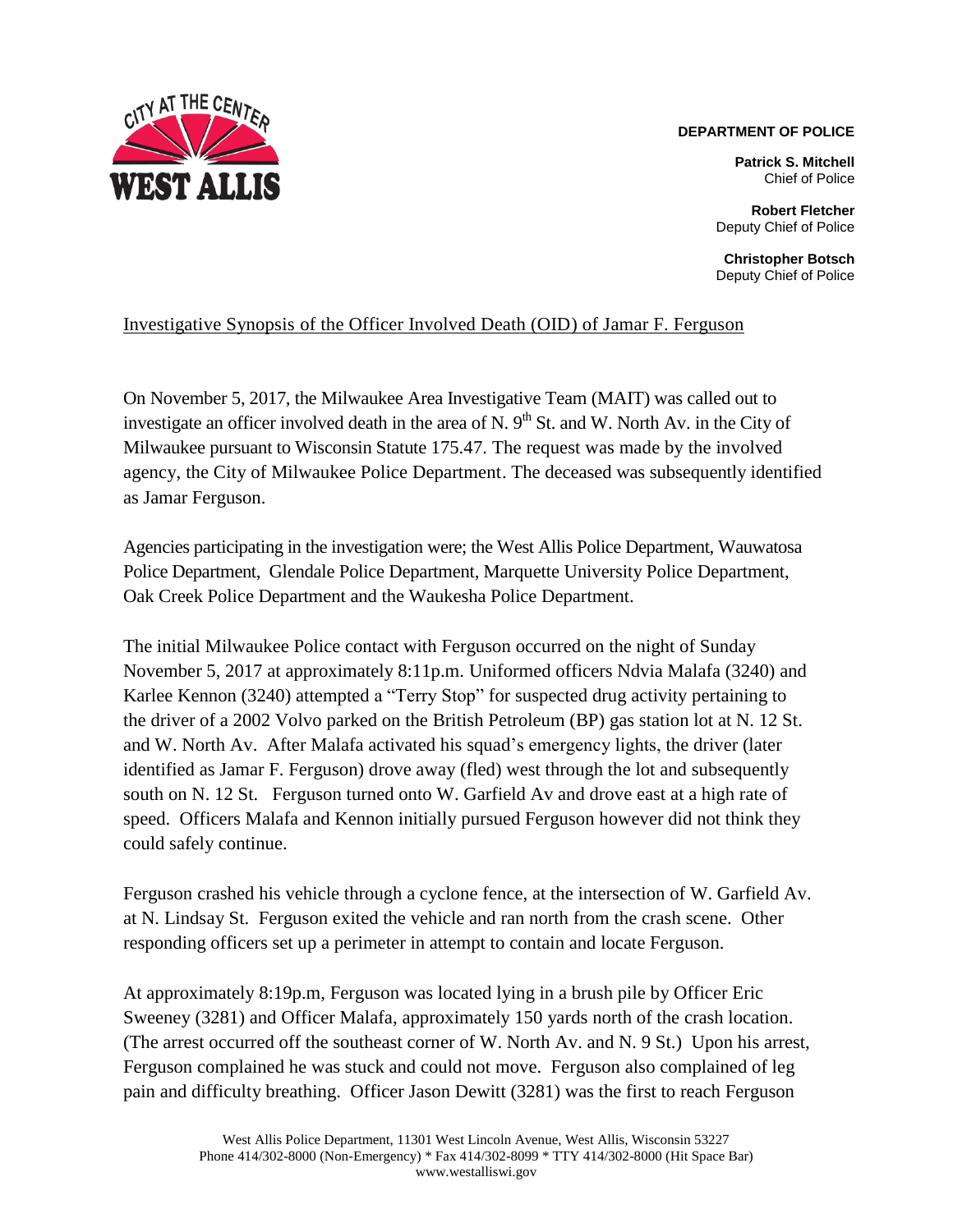

## **DEPARTMENT OF POLICE**

**Patrick S. Mitchell** Chief of Police

**Robert Fletcher** Deputy Chief of Police

**Christopher Botsch** Deputy Chief of Police

## Investigative Synopsis of the Officer Involved Death (OID) of Jamar F. Ferguson

On November 5, 2017, the Milwaukee Area Investigative Team (MAIT) was called out to investigate an officer involved death in the area of N.  $9<sup>th</sup>$  St. and W. North Av. in the City of Milwaukee pursuant to Wisconsin Statute 175.47. The request was made by the involved agency, the City of Milwaukee Police Department. The deceased was subsequently identified as Jamar Ferguson.

Agencies participating in the investigation were; the West Allis Police Department, Wauwatosa Police Department, Glendale Police Department, Marquette University Police Department, Oak Creek Police Department and the Waukesha Police Department.

The initial Milwaukee Police contact with Ferguson occurred on the night of Sunday November 5, 2017 at approximately 8:11p.m. Uniformed officers Ndvia Malafa (3240) and Karlee Kennon (3240) attempted a "Terry Stop" for suspected drug activity pertaining to the driver of a 2002 Volvo parked on the British Petroleum (BP) gas station lot at N. 12 St. and W. North Av. After Malafa activated his squad's emergency lights, the driver (later identified as Jamar F. Ferguson) drove away (fled) west through the lot and subsequently south on N. 12 St. Ferguson turned onto W. Garfield Av and drove east at a high rate of speed. Officers Malafa and Kennon initially pursued Ferguson however did not think they could safely continue.

Ferguson crashed his vehicle through a cyclone fence, at the intersection of W. Garfield Av. at N. Lindsay St. Ferguson exited the vehicle and ran north from the crash scene. Other responding officers set up a perimeter in attempt to contain and locate Ferguson.

At approximately 8:19p.m, Ferguson was located lying in a brush pile by Officer Eric Sweeney (3281) and Officer Malafa, approximately 150 yards north of the crash location. (The arrest occurred off the southeast corner of W. North Av. and N. 9 St.) Upon his arrest, Ferguson complained he was stuck and could not move. Ferguson also complained of leg pain and difficulty breathing. Officer Jason Dewitt (3281) was the first to reach Ferguson